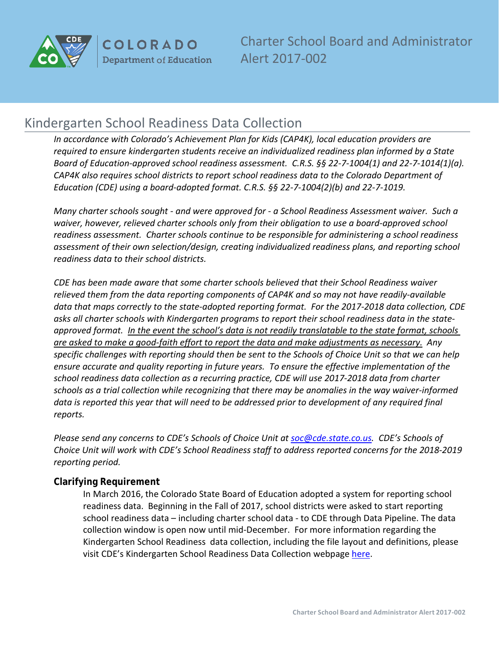

**COLORADO Department of Education** 

Charter School Board and Administrator Alert 2017-002

# Kindergarten School Readiness Data Collection

*In accordance with Colorado's Achievement Plan for Kids (CAP4K), local education providers are required to ensure kindergarten students receive an individualized readiness plan informed by a State Board of Education-approved school readiness assessment. C.R.S. §§ 22-7-1004(1) and 22-7-1014(1)(a). CAP4K also requires school districts to report school readiness data to the Colorado Department of Education (CDE) using a board-adopted format. C.R.S. §§ 22-7-1004(2)(b) and 22-7-1019.*

*Many charter schools sought - and were approved for - a School Readiness Assessment waiver. Such a waiver, however, relieved charter schools only from their obligation to use a board-approved school readiness assessment. Charter schools continue to be responsible for administering a school readiness assessment of their own selection/design, creating individualized readiness plans, and reporting school readiness data to their school districts.* 

*CDE has been made aware that some charter schools believed that their School Readiness waiver relieved them from the data reporting components of CAP4K and so may not have readily-available data that maps correctly to the state-adopted reporting format. For the 2017-2018 data collection, CDE asks all charter schools with Kindergarten programs to report their school readiness data in the stateapproved format. In the event the school's data is not readily translatable to the state format, schools are asked to make a good-faith effort to report the data and make adjustments as necessary. Any specific challenges with reporting should then be sent to the Schools of Choice Unit so that we can help ensure accurate and quality reporting in future years. To ensure the effective implementation of the school readiness data collection as a recurring practice, CDE will use 2017-2018 data from charter schools as a trial collection while recognizing that there may be anomalies in the way waiver-informed data is reported this year that will need to be addressed prior to development of any required final reports.*

*Please send any concerns to CDE's Schools of Choice Unit at [soc@cde.state.co.us.](mailto:soc@cde.state.co.us) CDE's Schools of Choice Unit will work with CDE's School Readiness staff to address reported concerns for the 2018-2019 reporting period.* 

## **Clarifying Requirement**

In March 2016, the Colorado State Board of Education adopted a system for reporting school readiness data. Beginning in the Fall of 2017, school districts were asked to start reporting school readiness data – including charter school data - to CDE through Data Pipeline. The data collection window is open now until mid-December. For more information regarding the Kindergarten School Readiness data collection, including the file layout and definitions, please visit CDE's Kindergarten School Readiness Data Collection webpage [here.](http://www.cde.state.co.us/schoolreadiness/kindergartenschoolreadinessdatacollection)